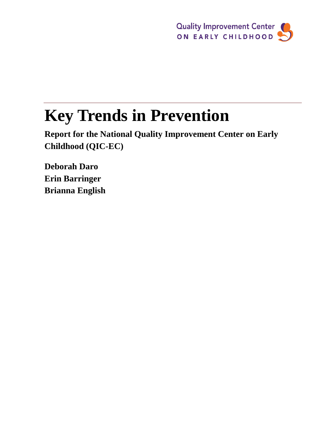

# **Key Trends in Prevention**

**Report for the National Quality Improvement Center on Early Childhood (QIC-EC)**

**Deborah Daro Erin Barringer Brianna English**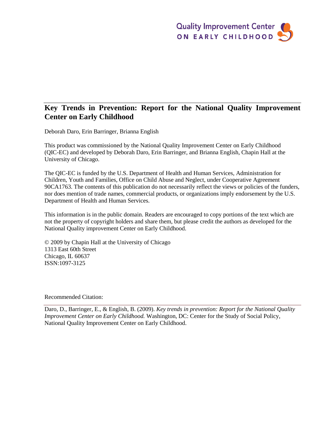#### **Key Trends in Prevention: Report for the National Quality Improvement Center on Early Childhood**

Deborah Daro, Erin Barringer, Brianna English

This product was commissioned by the National Quality Improvement Center on Early Childhood (QIC-EC) and developed by Deborah Daro, Erin Barringer, and Brianna English, Chapin Hall at the University of Chicago.

The QIC-EC is funded by the U.S. Department of Health and Human Services, Administration for Children, Youth and Families, Office on Child Abuse and Neglect, under Cooperative Agreement 90CA1763. The contents of this publication do not necessarily reflect the views or policies of the funders, nor does mention of trade names, commercial products, or organizations imply endorsement by the U.S. Department of Health and Human Services.

This information is in the public domain. Readers are encouraged to copy portions of the text which are not the property of copyright holders and share them, but please credit the authors as developed for the National Quality improvement Center on Early Childhood.

© 2009 by Chapin Hall at the University of Chicago 1313 East 60th Street Chicago, IL 60637 ISSN:1097-3125

#### Recommended Citation:

Daro, D., Barringer, E., & English, B. (2009). *Key trends in prevention: Report for the National Quality Improvement Center on Early Childhood.* Washington, DC: Center for the Study of Social Policy, National Quality Improvement Center on Early Childhood.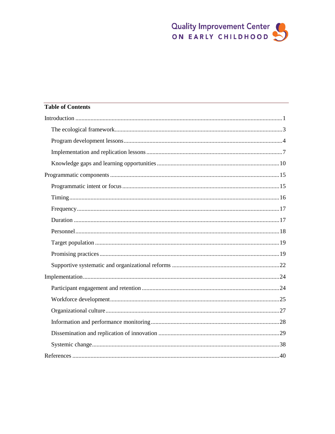# **Table of Contents**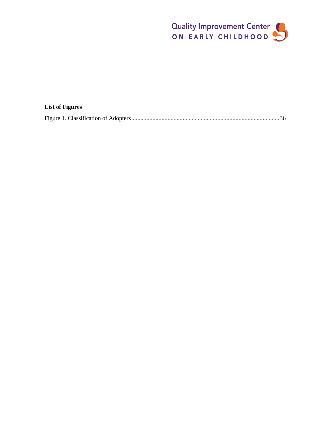

| <b>List of Figures</b> |  |
|------------------------|--|
|                        |  |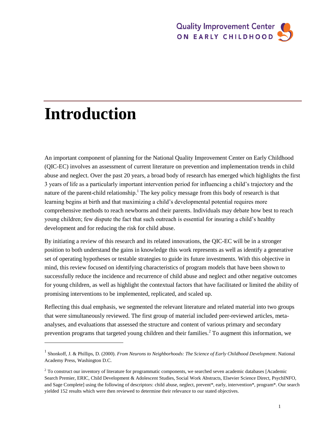# **Introduction**

 $\overline{a}$ 

An important component of planning for the National Quality Improvement Center on Early Childhood (QIC-EC) involves an assessment of current literature on prevention and implementation trends in child abuse and neglect. Over the past 20 years, a broad body of research has emerged which highlights the first 3 years of life as a particularly important intervention period for influencing a child's trajectory and the nature of the parent-child relationship.<sup>1</sup> The key policy message from this body of research is that learning begins at birth and that maximizing a child's developmental potential requires more comprehensive methods to reach newborns and their parents. Individuals may debate how best to reach young children; few dispute the fact that such outreach is essential for insuring a child's healthy development and for reducing the risk for child abuse.

By initiating a review of this research and its related innovations, the QIC-EC will be in a stronger position to both understand the gains in knowledge this work represents as well as identify a generative set of operating hypotheses or testable strategies to guide its future investments. With this objective in mind, this review focused on identifying characteristics of program models that have been shown to successfully reduce the incidence and recurrence of child abuse and neglect and other negative outcomes for young children, as well as highlight the contextual factors that have facilitated or limited the ability of promising interventions to be implemented, replicated, and scaled up.

Reflecting this dual emphasis, we segmented the relevant literature and related material into two groups that were simultaneously reviewed. The first group of material included peer-reviewed articles, metaanalyses, and evaluations that assessed the structure and content of various primary and secondary prevention programs that targeted young children and their families.<sup>2</sup> To augment this information, we

<sup>&</sup>lt;sup>1</sup> Shonkoff, J. & Phillips, D. (2000). *From Neurons to Neighborhoods: The Science of Early Childhood Development*. National Academy Press, Washington D.C.

<sup>&</sup>lt;sup>2</sup> To construct our inventory of literature for programmatic components, we searched seven academic databases [Academic Search Premier, ERIC, Child Development & Adolescent Studies, Social Work Abstracts, Elsevier Science Direct, PsychINFO, and Sage Complete] using the following of descriptors: child abuse, neglect, prevent\*, early, intervention\*, program\*. Our search yielded 152 results which were then reviewed to determine their relevance to our stated objectives.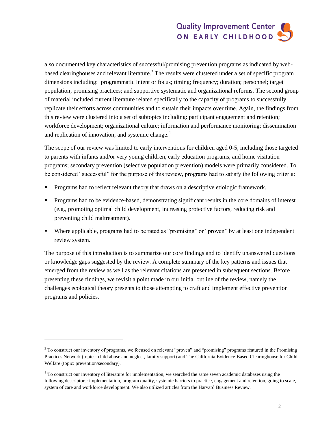also documented key characteristics of successful/promising prevention programs as indicated by webbased clearinghouses and relevant literature.<sup>3</sup> The results were clustered under a set of specific program dimensions including: programmatic intent or focus; timing; frequency; duration; personnel; target population; promising practices; and supportive systematic and organizational reforms. The second group of material included current literature related specifically to the capacity of programs to successfully replicate their efforts across communities and to sustain their impacts over time. Again, the findings from this review were clustered into a set of subtopics including: participant engagement and retention; workforce development; organizational culture; information and performance monitoring; dissemination and replication of innovation; and systemic change. $4$ 

The scope of our review was limited to early interventions for children aged 0-5, including those targeted to parents with infants and/or very young children, early education programs, and home visitation programs; secondary prevention (selective population prevention) models were primarily considered. To be considered "successful" for the purpose of this review, programs had to satisfy the following criteria:

- Programs had to reflect relevant theory that draws on a descriptive etiologic framework.
- Programs had to be evidence-based, demonstrating significant results in the core domains of interest (e.g., promoting optimal child development, increasing protective factors, reducing risk and preventing child maltreatment).
- Where applicable, programs had to be rated as "promising" or "proven" by at least one independent review system.

The purpose of this introduction is to summarize our core findings and to identify unanswered questions or knowledge gaps suggested by the review. A complete summary of the key patterns and issues that emerged from the review as well as the relevant citations are presented in subsequent sections. Before presenting these findings, we revisit a point made in our initial outline of the review, namely the challenges ecological theory presents to those attempting to craft and implement effective prevention programs and policies.

l

 $3$  To construct our inventory of programs, we focused on relevant "proven" and "promising" programs featured in the Promising Practices Network (topics: child abuse and neglect, family support) and The California Evidence-Based Clearinghouse for Child Welfare (topic: prevention/secondary).

<sup>&</sup>lt;sup>4</sup> To construct our inventory of literature for implementation, we searched the same seven academic databases using the following descriptors: implementation, program quality, systemic barriers to practice, engagement and retention, going to scale, system of care and workforce development. We also utilized articles from the Harvard Business Review.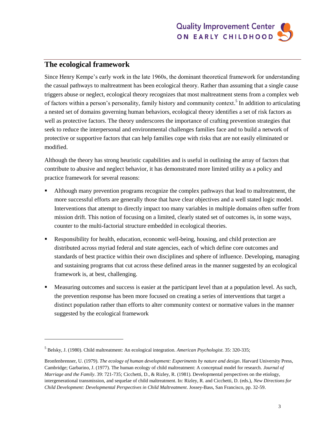

### **The ecological framework**

l

Since Henry Kempe's early work in the late 1960s, the dominant theoretical framework for understanding the casual pathways to maltreatment has been ecological theory. Rather than assuming that a single cause triggers abuse or neglect, ecological theory recognizes that most maltreatment stems from a complex web of factors within a person's personality, family history and community context.<sup>5</sup> In addition to articulating a nested set of domains governing human behaviors, ecological theory identifies a set of risk factors as well as protective factors. The theory underscores the importance of crafting prevention strategies that seek to reduce the interpersonal and environmental challenges families face and to build a network of protective or supportive factors that can help families cope with risks that are not easily eliminated or modified.

Although the theory has strong heuristic capabilities and is useful in outlining the array of factors that contribute to abusive and neglect behavior, it has demonstrated more limited utility as a policy and practice framework for several reasons:

- Although many prevention programs recognize the complex pathways that lead to maltreatment, the more successful efforts are generally those that have clear objectives and a well stated logic model. Interventions that attempt to directly impact too many variables in multiple domains often suffer from mission drift. This notion of focusing on a limited, clearly stated set of outcomes is, in some ways, counter to the multi-factorial structure embedded in ecological theories.
- Responsibility for health, education, economic well-being, housing, and child protection are distributed across myriad federal and state agencies, each of which define core outcomes and standards of best practice within their own disciplines and sphere of influence. Developing, managing and sustaining programs that cut across these defined areas in the manner suggested by an ecological framework is, at best, challenging.
- Measuring outcomes and success is easier at the participant level than at a population level. As such, the prevention response has been more focused on creating a series of interventions that target a distinct population rather than efforts to alter community context or normative values in the manner suggested by the ecological framework

<sup>5</sup> Belsky, J. (1980). Child maltreatment: An ecological integration. *American Psychologist*. 35: 320-335;

Bronfenbrenner, U. (1979). *The ecology of human development: Experiments by nature and design*. Harvard University Press, Cambridge; Garbarino, J. (1977). The human ecology of child maltreatment: A conceptual model for research. *Journal of Marriage and the Family*. 39: 721-735; Cicchetti, D., & Rizley, R. (1981). Developmental perspectives on the etiology, intergenerational transmission, and sequelae of child maltreatment. In: Rizley, R. and Cicchetti, D. (eds.), *New Directions for Child Development: Developmental Perspectives in Child Maltreatment*. Jossey-Bass, San Francisco, pp. 32-59.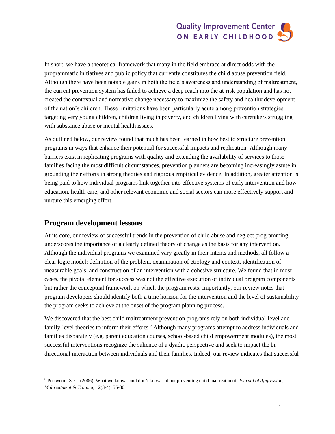In short, we have a theoretical framework that many in the field embrace at direct odds with the programmatic initiatives and public policy that currently constitutes the child abuse prevention field. Although there have been notable gains in both the field's awareness and understanding of maltreatment, the current prevention system has failed to achieve a deep reach into the at-risk population and has not created the contextual and normative change necessary to maximize the safety and healthy development of the nation's children. These limitations have been particularly acute among prevention strategies targeting very young children, children living in poverty, and children living with caretakers struggling with substance abuse or mental health issues.

As outlined below, our review found that much has been learned in how best to structure prevention programs in ways that enhance their potential for successful impacts and replication. Although many barriers exist in replicating programs with quality and extending the availability of services to those families facing the most difficult circumstances, prevention planners are becoming increasingly astute in grounding their efforts in strong theories and rigorous empirical evidence. In addition, greater attention is being paid to how individual programs link together into effective systems of early intervention and how education, health care, and other relevant economic and social sectors can more effectively support and nurture this emerging effort.

#### **Program development lessons**

l

At its core, our review of successful trends in the prevention of child abuse and neglect programming underscores the importance of a clearly defined theory of change as the basis for any intervention. Although the individual programs we examined vary greatly in their intents and methods, all follow a clear logic model: definition of the problem, examination of etiology and context, identification of measurable goals, and construction of an intervention with a cohesive structure. We found that in most cases, the pivotal element for success was not the effective execution of individual program components but rather the conceptual framework on which the program rests. Importantly, our review notes that program developers should identify both a time horizon for the intervention and the level of sustainability the program seeks to achieve at the onset of the program planning process.

We discovered that the best child maltreatment prevention programs rely on both individual-level and family-level theories to inform their efforts.<sup>6</sup> Although many programs attempt to address individuals and families disparately (e.g. parent education courses, school-based child empowerment modules), the most successful interventions recognize the salience of a dyadic perspective and seek to impact the bidirectional interaction between individuals and their families. Indeed, our review indicates that successful

<sup>6</sup> Portwood, S. G. (2006). What we know - and don't know - about preventing child maltreatment. *Journal of Aggression, Maltreatment & Trauma*, 12(3-4), 55-80.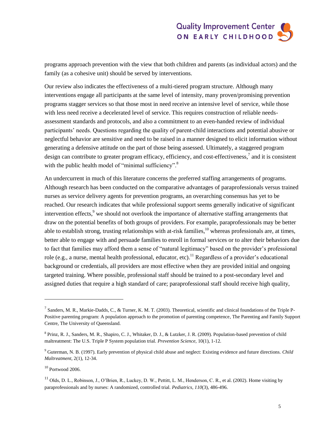programs approach prevention with the view that both children and parents (as individual actors) and the family (as a cohesive unit) should be served by interventions.

Our review also indicates the effectiveness of a multi-tiered program structure. Although many interventions engage all participants at the same level of intensity, many proven/promising prevention programs stagger services so that those most in need receive an intensive level of service, while those with less need receive a decelerated level of service. This requires construction of reliable needsassessment standards and protocols, and also a commitment to an even-handed review of individual participants' needs. Questions regarding the quality of parent-child interactions and potential abusive or neglectful behavior are sensitive and need to be raised in a manner designed to elicit information without generating a defensive attitude on the part of those being assessed. Ultimately, a staggered program design can contribute to greater program efficacy, efficiency, and cost-effectiveness,<sup>7</sup> and it is consistent with the public health model of "minimal sufficiency".<sup>8</sup>

An undercurrent in much of this literature concerns the preferred staffing arrangements of programs. Although research has been conducted on the comparative advantages of paraprofessionals versus trained nurses as service delivery agents for prevention programs, an overarching consensus has yet to be reached. Our research indicates that while professional support seems generally indicative of significant intervention effects,<sup>9</sup> we should not overlook the importance of alternative staffing arrangements that draw on the potential benefits of both groups of providers. For example, paraprofessionals may be better able to establish strong, trusting relationships with at-risk families,  $10$  whereas professionals are, at times, better able to engage with and persuade families to enroll in formal services or to alter their behaviors due to fact that families may afford them a sense of "natural legitimacy" based on the provider's professional role (e.g., a nurse, mental health professional, educator, etc).<sup>11</sup> Regardless of a provider's educational background or credentials, all providers are most effective when they are provided initial and ongoing targeted training. Where possible, professional staff should be trained to a post-secondary level and assigned duties that require a high standard of care; paraprofessional staff should receive high quality,

l

<sup>&</sup>lt;sup>7</sup> Sanders, M. R., Markie-Dadds, C., & Turner, K. M. T. (2003). Theoretical, scientific and clinical foundations of the Triple P-Positive parenting program: A population approach to the promotion of parenting competence, The Parenting and Family Support Centre, The University of Queensland.

<sup>&</sup>lt;sup>8</sup> Prinz, R. J., Sanders, M. R., Shapiro, C. J., Whitaker, D. J., & Lutzker, J. R. (2009). Population-based prevention of child maltreatment: The U.S. Triple P System population trial. *Prevention Science*, 10(1), 1-12.

<sup>9</sup> Guterman, N. B. (1997). Early prevention of physical child abuse and neglect: Existing evidence and future directions. *Child Maltreatment*, 2(1), 12-34.

 $10$  Portwood 2006.

 $11$  Olds, D. L., Robinson, J., O'Brien, R., Luckey, D. W., Pettitt, L. M., Henderson, C. R., et al. (2002). Home visiting by paraprofessionals and by nurses: A randomized, controlled trial. *Pediatrics, 110*(3), 486-496.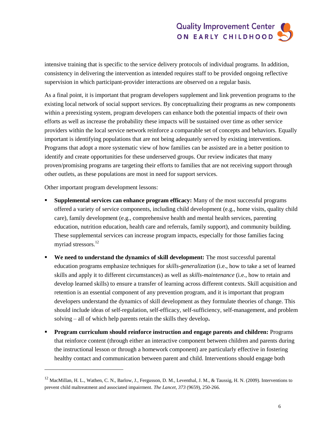intensive training that is specific to the service delivery protocols of individual programs. In addition, consistency in delivering the intervention as intended requires staff to be provided ongoing reflective supervision in which participant-provider interactions are observed on a regular basis.

As a final point, it is important that program developers supplement and link prevention programs to the existing local network of social support services. By conceptualizing their programs as new components within a preexisting system, program developers can enhance both the potential impacts of their own efforts as well as increase the probability these impacts will be sustained over time as other service providers within the local service network reinforce a comparable set of concepts and behaviors. Equally important is identifying populations that are not being adequately served by existing interventions. Programs that adopt a more systematic view of how families can be assisted are in a better position to identify and create opportunities for these underserved groups. Our review indicates that many proven/promising programs are targeting their efforts to families that are not receiving support through other outlets, as these populations are most in need for support services.

Other important program development lessons:

 $\overline{a}$ 

- **Supplemental services can enhance program efficacy:** Many of the most successful programs offered a variety of service components, including child development (e.g., home visits, quality child care), family development (e.g., comprehensive health and mental health services, parenting education, nutrition education, health care and referrals, family support), and community building. These supplemental services can increase program impacts, especially for those families facing myriad stressors.<sup>12</sup>
- **We need to understand the dynamics of skill development:** The most successful parental education programs emphasize techniques for *skills-generalization* (i.e., how to take a set of learned skills and apply it to different circumstances) as well as *skills-maintenance* (i.e., how to retain and develop learned skills) to ensure a transfer of learning across different contexts. Skill acquisition and retention is an essential component of any prevention program, and it is important that program developers understand the dynamics of skill development as they formulate theories of change. This should include ideas of self-regulation, self-efficacy, self-sufficiency, self-management, and problem solving – all of which help parents retain the skills they develop**.**
- **Program curriculum should reinforce instruction and engage parents and children:** Programs that reinforce content (through either an interactive component between children and parents during the instructional lesson or through a homework component) are particularly effective in fostering healthy contact and communication between parent and child. Interventions should engage both

 $12$  MacMillan, H. L., Wathen, C. N., Barlow, J., Fergusson, D. M., Leventhal, J. M., & Taussig, H. N. (2009). Interventions to prevent child maltreatment and associated impairment. *The Lancet, 373* (9659), 250-266.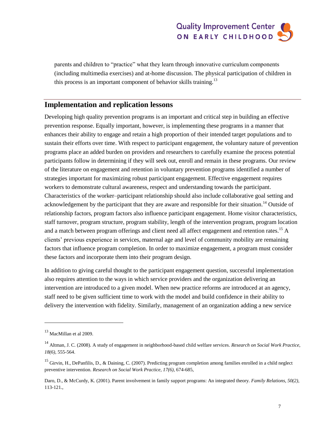parents and children to "practice" what they learn through innovative curriculum components (including multimedia exercises) and at-home discussion. The physical participation of children in this process is an important component of behavior skills training.<sup>13</sup>

### **Implementation and replication lessons**

Developing high quality prevention programs is an important and critical step in building an effective prevention response. Equally important, however, is implementing these programs in a manner that enhances their ability to engage and retain a high proportion of their intended target populations and to sustain their efforts over time. With respect to participant engagement, the voluntary nature of prevention programs place an added burden on providers and researchers to carefully examine the process potential participants follow in determining if they will seek out, enroll and remain in these programs. Our review of the literature on engagement and retention in voluntary prevention programs identified a number of strategies important for maximizing robust participant engagement. Effective engagement requires workers to demonstrate cultural awareness, respect and understanding towards the participant. Characteristics of the worker–participant relationship should also include collaborative goal setting and acknowledgement by the participant that they are aware and responsible for their situation.<sup>14</sup> Outside of relationship factors, program factors also influence participant engagement. Home visitor characteristics, staff turnover, program structure, program stability, length of the intervention program, program location and a match between program offerings and client need all affect engagement and retention rates.<sup>15</sup> A clients' previous experience in services, maternal age and level of community mobility are remaining factors that influence program completion. In order to maximize engagement, a program must consider these factors and incorporate them into their program design.

In addition to giving careful thought to the participant engagement question, successful implementation also requires attention to the ways in which service providers and the organization delivering an intervention are introduced to a given model. When new practice reforms are introduced at an agency, staff need to be given sufficient time to work with the model and build confidence in their ability to delivery the intervention with fidelity. Similarly, management of an organization adding a new service

l

<sup>13</sup> MacMillan et al 2009.

<sup>14</sup> Altman, J. C. (2008). A study of engagement in neighborhood-based child welfare services. *Research on Social Work Practice, 18(6)*, 555-564.

<sup>&</sup>lt;sup>15</sup> Girvin, H., DePanfilis, D., & Daining, C. (2007). Predicting program completion among families enrolled in a child neglect preventive intervention. *Research on Social Work Practice, 17(6),* 674-685,

Daro, D., & McCurdy, K. (2001). Parent involvement in family support programs: An integrated theory. *Family Relations, 50(2),* 113-121.,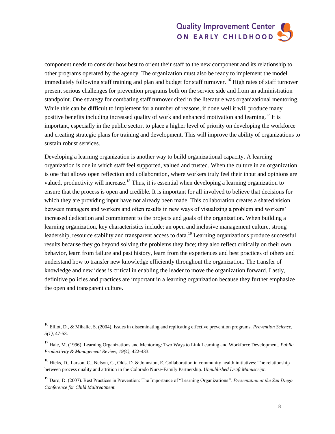component needs to consider how best to orient their staff to the new component and its relationship to other programs operated by the agency. The organization must also be ready to implement the model immediately following staff training and plan and budget for staff turnover. <sup>16</sup> High rates of staff turnover present serious challenges for prevention programs both on the service side and from an administration standpoint. One strategy for combating staff turnover cited in the literature was organizational mentoring. While this can be difficult to implement for a number of reasons, if done well it will produce many positive benefits including increased quality of work and enhanced motivation and learning.<sup>17</sup> It is important, especially in the public sector, to place a higher level of priority on developing the workforce and creating strategic plans for training and development. This will improve the ability of organizations to sustain robust services.

Developing a learning organization is another way to build organizational capacity. A learning organization is one in which staff feel supported, valued and trusted. When the culture in an organization is one that allows open reflection and collaboration, where workers truly feel their input and opinions are valued, productivity will increase.<sup>18</sup> Thus, it is essential when developing a learning organization to ensure that the process is open and credible. It is important for all involved to believe that decisions for which they are providing input have not already been made. This collaboration creates a shared vision between managers and workers and often results in new ways of visualizing a problem and workers' increased dedication and commitment to the projects and goals of the organization. When building a learning organization, key characteristics include: an open and inclusive management culture, strong leadership, resource stability and transparent access to data.<sup>19</sup> Learning organizations produce successful results because they go beyond solving the problems they face; they also reflect critically on their own behavior, learn from failure and past history, learn from the experiences and best practices of others and understand how to transfer new knowledge efficiently throughout the organization. The transfer of knowledge and new ideas is critical in enabling the leader to move the organization forward. Lastly, definitive policies and practices are important in a learning organization because they further emphasize the open and transparent culture.

 $\overline{a}$ 

<sup>16</sup> Elliot, D., & Mihalic, S. (2004). Issues in disseminating and replicating effective prevention programs. *Prevention Science, 5(1),* 47-53.

<sup>17</sup> Hale, M. (1996). Learning Organizations and Mentoring: Two Ways to Link Learning and Workforce Development. *Public Productivity & Management Review, 19(4),* 422-433.

 $^{18}$  Hicks, D., Larson, C., Nelson, C., Olds, D. & Johnston, E. Collaboration in community health initiatives: The relationship between process quality and attrition in the Colorado Nurse-Family Partnership. *Unpublished Draft Manuscript.*

<sup>19</sup> Daro, D. (2007). Best Practices in Prevention: The Importance of "Learning Organizations*". Presentation at the San Diego Conference for Child Maltreatment.*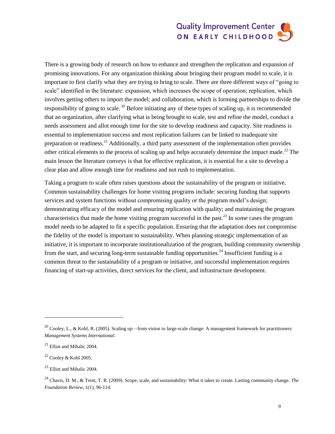There is a growing body of research on how to enhance and strengthen the replication and expansion of promising innovations. For any organization thinking about bringing their program model to scale, it is important to first clarify what they are trying to bring to scale. There are three different ways of "going to scale" identified in the literature: expansion, which increases the scope of operation; replication, which involves getting others to import the model; and collaboration, which is forming partnerships to divide the responsibility of going to scale. <sup>20</sup> Before initiating any of these types of scaling up, it is recommended that an organization, after clarifying what is being brought to scale, test and refine the model, conduct a needs assessment and allot enough time for the site to develop readiness and capacity. Site readiness is essential to implementation success and most replication failures can be linked to inadequate site preparation or readiness.<sup>21</sup> Additionally, a third party assessment of the implementation often provides other critical elements to the process of scaling up and helps accurately determine the impact made.<sup>22</sup> The main lesson the literature conveys is that for effective replication, it is essential for a site to develop a clear plan and allow enough time for readiness and not rush to implementation.

Taking a program to scale often raises questions about the sustainability of the program or initiative. Common sustainability challenges for home visiting programs include: securing funding that supports services and system functions without compromising quality or the program model's design; demonstrating efficacy of the model and ensuring replication with quality; and maintaining the program characteristics that made the home visiting program successful in the past.<sup>23</sup> In some cases the program model needs to be adapted to fit a specific population. Ensuring that the adaptation does not compromise the fidelity of the model is important to sustainability. When planning strategic implementation of an initiative, it is important to incorporate institutionalization of the program, building community ownership from the start, and securing long-term sustainable funding opportunities.<sup>24</sup> Insufficient funding is a common threat to the sustainability of a program or initiative, and successful implementation requires financing of start-up activities, direct services for the client, and infrastructure development.

l

<sup>&</sup>lt;sup>20</sup> Cooley, L., & Kohl, R. (2005). Scaling up—from vision to large-scale change: A management framework for practitioners: *Management Systems International.*

 $^{21}$  Elliot and Mihalic 2004.

 $22$  Cooley & Kohl 2005.

 $^{23}$  Elliot and Mihalic 2004.

<sup>24</sup> Chavis, D. M., & Trent, T. R. (2009). Scope, scale, and sustainability: What it takes to create. Lasting community change. *The Foundation Review, 1(1),* 96-114.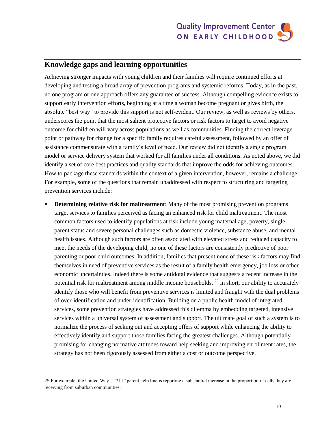### **Knowledge gaps and learning opportunities**

Achieving stronger impacts with young children and their families will require continued efforts at developing and testing a broad array of prevention programs and systemic reforms. Today, as in the past, no one program or one approach offers any guarantee of success. Although compelling evidence exists to support early intervention efforts, beginning at a time a woman become pregnant or gives birth, the absolute "best way" to provide this support is not self-evident. Our review, as well as reviews by others, underscores the point that the most salient protective factors or risk factors to target to avoid negative outcome for children will vary across populations as well as communities. Finding the correct leverage point or pathway for change for a specific family requires careful assessment, followed by an offer of assistance commensurate with a family's level of need. Our review did not identify a single program model or service delivery system that worked for all families under all conditions. As noted above, we did identify a set of core best practices and quality standards that improve the odds for achieving outcomes. How to package these standards within the context of a given intervention, however, remains a challenge. For example, some of the questions that remain unaddressed with respect to structuring and targeting prevention services include:

 **Determining relative risk for maltreatment**: Many of the most promising prevention programs target services to families perceived as facing an enhanced risk for child maltreatment. The most common factors used to identify populations at risk include young maternal age, poverty, single parent status and severe personal challenges such as domestic violence, substance abuse, and mental health issues. Although such factors are often associated with elevated stress and reduced capacity to meet the needs of the developing child, no one of these factors are consistently predictive of poor parenting or poor child outcomes. In addition, families that present none of these risk factors may find themselves in need of preventive services as the result of a family health emergency, job loss or other economic uncertainties. Indeed there is some antidotal evidence that suggests a recent increase in the potential risk for maltreatment among middle income households.<sup>25</sup> In short, our ability to accurately identify those who will benefit from preventive services is limited and fraught with the dual problems of over-identification and under-identification. Building on a public health model of integrated services, some prevention strategies have addressed this dilemma by embedding targeted, intensive services within a universal system of assessment and support. The ultimate goal of such a system is to normalize the process of seeking out and accepting offers of support while enhancing the ability to effectively identify and support those families facing the greatest challenges. Although potentially promising for changing normative attitudes toward help seeking and improving enrollment rates, the strategy has not been rigorously assessed from either a cost or outcome perspective.

l

<sup>25</sup> For example, the United Way's "211" parent help line is reporting a substantial increase in the proportion of calls they are receiving from suburban communities.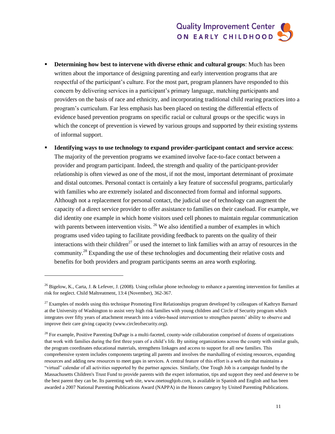- **Determining how best to intervene with diverse ethnic and cultural groups**: Much has been written about the importance of designing parenting and early intervention programs that are respectful of the participant's culture. For the most part, program planners have responded to this concern by delivering services in a participant's primary language, matching participants and providers on the basis of race and ethnicity, and incorporating traditional child rearing practices into a program's curriculum. Far less emphasis has been placed on testing the differential effects of evidence based prevention programs on specific racial or cultural groups or the specific ways in which the concept of prevention is viewed by various groups and supported by their existing systems of informal support.
- **Identifying ways to use technology to expand provider-participant contact and service access**: The majority of the prevention programs we examined involve face-to-face contact between a provider and program participant. Indeed, the strength and quality of the participant-provider relationship is often viewed as one of the most, if not the most, important determinant of proximate and distal outcomes. Personal contact is certainly a key feature of successful programs, particularly with families who are extremely isolated and disconnected from formal and informal supports. Although not a replacement for personal contact, the judicial use of technology can augment the capacity of a direct service provider to offer assistance to families on their caseload. For example, we did identity one example in which home visitors used cell phones to maintain regular communication with parents between intervention visits.  $^{26}$  We also identified a number of examples in which programs used video taping to facilitate providing feedback to parents on the quality of their interactions with their children<sup>27</sup> or used the internet to link families with an array of resources in the community.<sup>28</sup> Expanding the use of these technologies and documenting their relative costs and benefits for both providers and program participants seems an area worth exploring.

 $\overline{a}$ 

<sup>&</sup>lt;sup>26</sup> Bigelow, K., Carta, J. & Lefever, J. (2008). Using cellular phone technology to enhance a parenting intervention for families at risk for neglect. Child Maltreatment, 13:4 (November), 362-367.

 $^{27}$  Examples of models using this technique Promoting First Relationships program developed by colleagues of Kathryn Barnard at the University of Washington to assist very high risk families with young children and Circle of Security program which integrates over fifty years of attachment research into a video-based intervention to strengthen parents' ability to observe and improve their care giving capacity (www.circleofsecurity.org).

<sup>&</sup>lt;sup>28</sup> For example, Positive Parenting DuPage is a multi-faceted, county-wide collaboration comprised of dozens of organizations that work with families during the first three years of a child's life. By uniting organizations across the county with similar goals, the program coordinates educational materials, strengthens linkages and access to support for all new families. This comprehensive system includes components targeting all parents and involves the marshalling of existing resources, expanding resources and adding new resources to meet gaps in services. A central feature of this effort is a web site that maintains a "virtual" calendar of all activities supported by the partner agencies. Similarly, One Tough Job is a campaign funded by the Massachusetts Children's Trust Fund to provide parents with the expert information, tips and support they need and deserve to be the best parent they can be. Its parenting web site, [www.onetoughjob.com,](http://www.onetoughjob.com/) is available in Spanish and English and has been awarded a 2007 National Parenting Publications Award (NAPPA) in the Honors category by United Parenting Publications.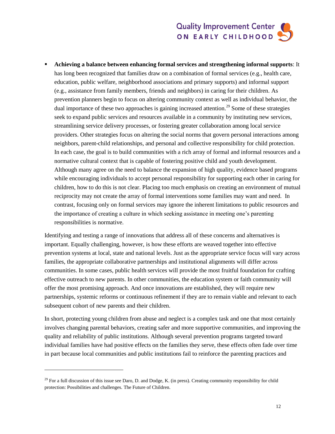**Achieving a balance between enhancing formal services and strengthening informal supports**: It has long been recognized that families draw on a combination of formal services (e.g., health care, education, public welfare, neighborhood associations and primary supports) and informal support (e.g., assistance from family members, friends and neighbors) in caring for their children. As prevention planners begin to focus on altering community context as well as individual behavior, the dual importance of these two approaches is gaining increased attention.<sup>29</sup> Some of these strategies seek to expand public services and resources available in a community by instituting new services, streamlining service delivery processes, or fostering greater collaboration among local service providers. Other strategies focus on altering the social norms that govern personal interactions among neighbors, parent-child relationships, and personal and collective responsibility for child protection. In each case, the goal is to build communities with a rich array of formal and informal resources and a normative cultural context that is capable of fostering positive child and youth development. Although many agree on the need to balance the expansion of high quality, evidence based programs while encouraging individuals to accept personal responsibility for supporting each other in caring for children, how to do this is not clear. Placing too much emphasis on creating an environment of mutual reciprocity may not create the array of formal interventions some families may want and need. In contrast, focusing only on formal services may ignore the inherent limitations to public resources and the importance of creating a culture in which seeking assistance in meeting one's parenting responsibilities is normative.

Identifying and testing a range of innovations that address all of these concerns and alternatives is important. Equally challenging, however, is how these efforts are weaved together into effective prevention systems at local, state and national levels. Just as the appropriate service focus will vary across families, the appropriate collaborative partnerships and institutional alignments will differ across communities. In some cases, public health services will provide the most fruitful foundation for crafting effective outreach to new parents. In other communities, the education system or faith community will offer the most promising approach. And once innovations are established, they will require new partnerships, systemic reforms or continuous refinement if they are to remain viable and relevant to each subsequent cohort of new parents and their children.

In short, protecting young children from abuse and neglect is a complex task and one that most certainly involves changing parental behaviors, creating safer and more supportive communities, and improving the quality and reliability of public institutions. Although several prevention programs targeted toward individual families have had positive effects on the families they serve, these effects often fade over time in part because local communities and public institutions fail to reinforce the parenting practices and

l

 $29$  For a full discussion of this issue see Daro, D. and Dodge, K. (in press). Creating community responsibility for child protection: Possibilities and challenges. The Future of Children.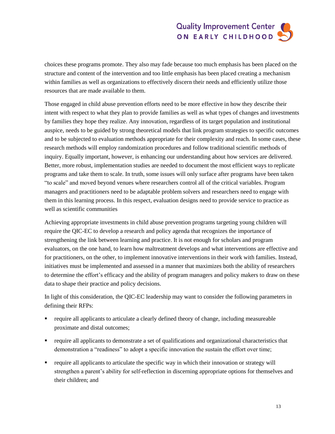choices these programs promote. They also may fade because too much emphasis has been placed on the structure and content of the intervention and too little emphasis has been placed creating a mechanism within families as well as organizations to effectively discern their needs and efficiently utilize those resources that are made available to them.

Those engaged in child abuse prevention efforts need to be more effective in how they describe their intent with respect to what they plan to provide families as well as what types of changes and investments by families they hope they realize. Any innovation, regardless of its target population and institutional auspice, needs to be guided by strong theoretical models that link program strategies to specific outcomes and to be subjected to evaluation methods appropriate for their complexity and reach. In some cases, these research methods will employ randomization procedures and follow traditional scientific methods of inquiry. Equally important, however, is enhancing our understanding about how services are delivered. Better, more robust, implementation studies are needed to document the most efficient ways to replicate programs and take them to scale. In truth, some issues will only surface after programs have been taken "to scale" and moved beyond venues where researchers control all of the critical variables. Program managers and practitioners need to be adaptable problem solvers and researchers need to engage with them in this learning process. In this respect, evaluation designs need to provide service to practice as well as scientific communities

Achieving appropriate investments in child abuse prevention programs targeting young children will require the QIC-EC to develop a research and policy agenda that recognizes the importance of strengthening the link between learning and practice. It is not enough for scholars and program evaluators, on the one hand, to learn how maltreatment develops and what interventions are effective and for practitioners, on the other, to implement innovative interventions in their work with families. Instead, initiatives must be implemented and assessed in a manner that maximizes both the ability of researchers to determine the effort's efficacy and the ability of program managers and policy makers to draw on these data to shape their practice and policy decisions.

In light of this consideration, the QIC-EC leadership may want to consider the following parameters in defining their RFPs:

- **•** require all applicants to articulate a clearly defined theory of change, including measureable proximate and distal outcomes;
- require all applicants to demonstrate a set of qualifications and organizational characteristics that demonstration a "readiness" to adopt a specific innovation the sustain the effort over time;
- require all applicants to articulate the specific way in which their innovation or strategy will strengthen a parent's ability for self-reflection in discerning appropriate options for themselves and their children; and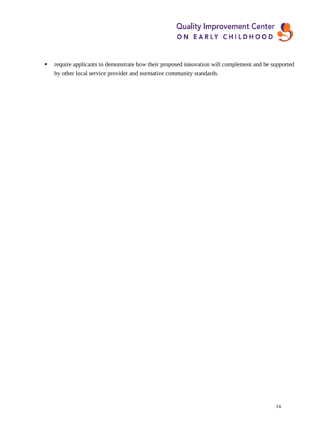

 require applicants to demonstrate how their proposed innovation will complement and be supported by other local service provider and normative community standards.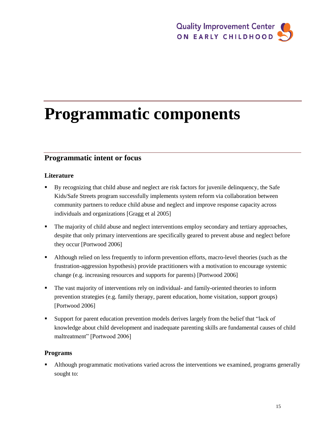# **Programmatic components**

### **Programmatic intent or focus**

#### **Literature**

- By recognizing that child abuse and neglect are risk factors for juvenile delinquency, the Safe Kids/Safe Streets program successfully implements system reform via collaboration between community partners to reduce child abuse and neglect and improve response capacity across individuals and organizations [Gragg et al 2005]
- The majority of child abuse and neglect interventions employ secondary and tertiary approaches, despite that only primary interventions are specifically geared to prevent abuse and neglect before they occur [Portwood 2006]
- Although relied on less frequently to inform prevention efforts, macro-level theories (such as the frustration-aggression hypothesis) provide practitioners with a motivation to encourage systemic change (e.g. increasing resources and supports for parents) [Portwood 2006]
- The vast majority of interventions rely on individual- and family-oriented theories to inform prevention strategies (e.g. family therapy, parent education, home visitation, support groups) [Portwood 2006]
- Support for parent education prevention models derives largely from the belief that "lack of knowledge about child development and inadequate parenting skills are fundamental causes of child maltreatment" [Portwood 2006]

#### **Programs**

 Although programmatic motivations varied across the interventions we examined, programs generally sought to: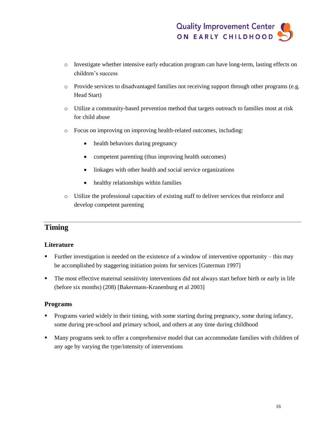- o Investigate whether intensive early education program can have long-term, lasting effects on children's success
- o Provide services to disadvantaged families not receiving support through other programs (e.g. Head Start)
- o Utilize a community-based prevention method that targets outreach to families most at risk for child abuse
- o Focus on improving on improving health-related outcomes, including:
	- health behaviors during pregnancy
	- competent parenting (thus improving health outcomes)
	- linkages with other health and social service organizations
	- healthy relationships within families
- o Utilize the professional capacities of existing staff to deliver services that reinforce and develop competent parenting

### **Timing**

#### **Literature**

- Further investigation is needed on the existence of a window of interventive opportunity this may be accomplished by staggering initiation points for services [Guterman 1997]
- The most effective maternal sensitivity interventions did not always start before birth or early in life (before six months) (208) [Bakermans-Kranenburg et al 2003]

#### **Programs**

- **Programs varied widely in their timing, with some starting during pregnancy, some during infancy,** some during pre-school and primary school, and others at any time during childhood
- Many programs seek to offer a comprehensive model that can accommodate families with children of any age by varying the type/intensity of interventions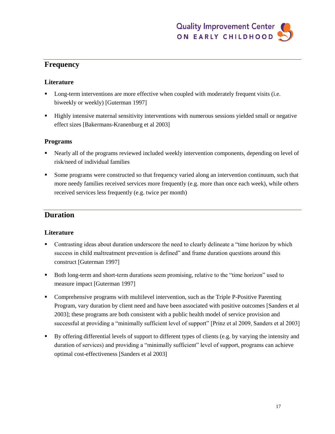### **Frequency**

#### **Literature**

- **Long-term interventions are more effective when coupled with moderately frequent visits (i.e.** biweekly or weekly) [Guterman 1997]
- Highly intensive maternal sensitivity interventions with numerous sessions yielded small or negative effect sizes [Bakermans-Kranenburg et al 2003]

#### **Programs**

- Nearly all of the programs reviewed included weekly intervention components, depending on level of risk/need of individual families
- Some programs were constructed so that frequency varied along an intervention continuum, such that more needy families received services more frequently (e.g. more than once each week), while others received services less frequently (e.g. twice per month)

#### **Duration**

#### **Literature**

- Contrasting ideas about duration underscore the need to clearly delineate a "time horizon by which success in child maltreatment prevention is defined" and frame duration questions around this construct [Guterman 1997]
- Both long-term and short-term durations seem promising, relative to the "time horizon" used to measure impact [Guterman 1997]
- Comprehensive programs with multilevel intervention, such as the Triple P-Positive Parenting Program, vary duration by client need and have been associated with positive outcomes [Sanders et al 2003]; these programs are both consistent with a public health model of service provision and successful at providing a "minimally sufficient level of support" [Prinz et al 2009, Sanders et al 2003]
- By offering differential levels of support to different types of clients (e.g. by varying the intensity and duration of services) and providing a "minimally sufficient" level of support, programs can achieve optimal cost-effectiveness [Sanders et al 2003]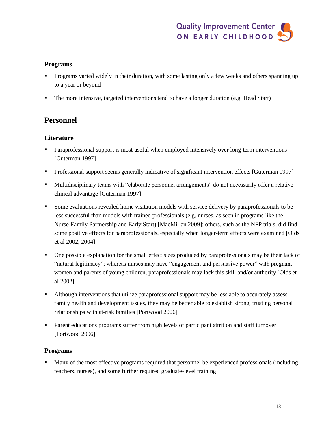#### **Programs**

- Programs varied widely in their duration, with some lasting only a few weeks and others spanning up to a year or beyond
- The more intensive, targeted interventions tend to have a longer duration (e.g. Head Start)

#### **Personnel**

#### **Literature**

- **Paraprofessional support is most useful when employed intensively over long-term interventions** [Guterman 1997]
- **•** Professional support seems generally indicative of significant intervention effects [Guterman 1997]
- Multidisciplinary teams with "elaborate personnel arrangements" do not necessarily offer a relative clinical advantage [Guterman 1997]
- Some evaluations revealed home visitation models with service delivery by paraprofessionals to be less successful than models with trained professionals (e.g. nurses, as seen in programs like the Nurse-Family Partnership and Early Start) [MacMillan 2009]; others, such as the NFP trials, did find some positive effects for paraprofessionals, especially when longer-term effects were examined [Olds et al 2002, 2004]
- One possible explanation for the small effect sizes produced by paraprofessionals may be their lack of "natural legitimacy"; whereas nurses may have "engagement and persuasive power" with pregnant women and parents of young children, paraprofessionals may lack this skill and/or authority [Olds et al 2002]
- Although interventions that utilize paraprofessional support may be less able to accurately assess family health and development issues, they may be better able to establish strong, trusting personal relationships with at-risk families [Portwood 2006]
- **Parent educations programs suffer from high levels of participant attrition and staff turnover** [Portwood 2006]

#### **Programs**

 Many of the most effective programs required that personnel be experienced professionals (including teachers, nurses), and some further required graduate-level training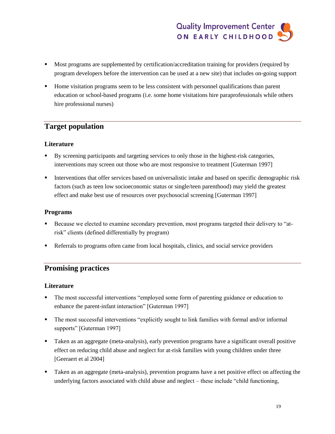- Most programs are supplemented by certification/accreditation training for providers (required by program developers before the intervention can be used at a new site) that includes on-going support
- Home visitation programs seem to be less consistent with personnel qualifications than parent education or school-based programs (i.e. some home visitations hire paraprofessionals while others hire professional nurses)

### **Target population**

#### **Literature**

- By screening participants and targeting services to only those in the highest-risk categories, interventions may screen out those who are most responsive to treatment [Guterman 1997]
- **Interventions that offer services based on universalistic intake and based on specific demographic risk** factors (such as teen low socioeconomic status or single/teen parenthood) may yield the greatest effect and make best use of resources over psychosocial screening [Guterman 1997]

#### **Programs**

- Because we elected to examine secondary prevention, most programs targeted their delivery to "atrisk" clients (defined differentially by program)
- Referrals to programs often came from local hospitals, clinics, and social service providers

#### **Promising practices**

#### **Literature**

- The most successful interventions "employed some form of parenting guidance or education to enhance the parent-infant interaction" [Guterman 1997]
- The most successful interventions "explicitly sought to link families with formal and/or informal supports" [Guterman 1997]
- Taken as an aggregate (meta-analysis), early prevention programs have a significant overall positive effect on reducing child abuse and neglect for at-risk families with young children under three [Geeraert et al 2004]
- Taken as an aggregate (meta-analysis), prevention programs have a net positive effect on affecting the underlying factors associated with child abuse and neglect – these include "child functioning,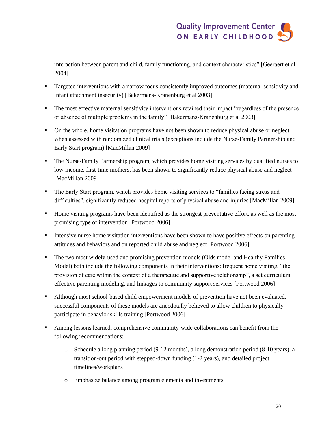interaction between parent and child, family functioning, and context characteristics" [Geeraert et al 2004]

- Targeted interventions with a narrow focus consistently improved outcomes (maternal sensitivity and infant attachment insecurity) [Bakermans-Kranenburg et al 2003]
- The most effective maternal sensitivity interventions retained their impact "regardless of the presence or absence of multiple problems in the family" [Bakermans-Kranenburg et al 2003]
- On the whole, home visitation programs have not been shown to reduce physical abuse or neglect when assessed with randomized clinical trials (exceptions include the Nurse-Family Partnership and Early Start program) [MacMillan 2009]
- The Nurse-Family Partnership program, which provides home visiting services by qualified nurses to low-income, first-time mothers, has been shown to significantly reduce physical abuse and neglect [MacMillan 2009]
- The Early Start program, which provides home visiting services to "families facing stress and difficulties", significantly reduced hospital reports of physical abuse and injuries [MacMillan 2009]
- Home visiting programs have been identified as the strongest preventative effort, as well as the most promising type of intervention [Portwood 2006]
- Intensive nurse home visitation interventions have been shown to have positive effects on parenting attitudes and behaviors and on reported child abuse and neglect [Portwood 2006]
- The two most widely-used and promising prevention models (Olds model and Healthy Families Model) both include the following components in their interventions: frequent home visiting, "the provision of care within the context of a therapeutic and supportive relationship", a set curriculum, effective parenting modeling, and linkages to community support services [Portwood 2006]
- Although most school-based child empowerment models of prevention have not been evaluated, successful components of these models are anecdotally believed to allow children to physically participate in behavior skills training [Portwood 2006]
- Among lessons learned, comprehensive community-wide collaborations can benefit from the following recommendations:
	- o Schedule a long planning period (9-12 months), a long demonstration period (8-10 years), a transition-out period with stepped-down funding (1-2 years), and detailed project timelines/workplans
	- o Emphasize balance among program elements and investments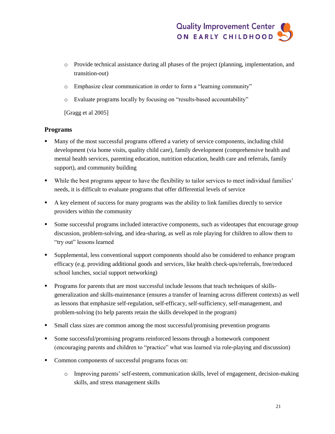- o Provide technical assistance during all phases of the project (planning, implementation, and transition-out)
- o Emphasize clear communication in order to form a "learning community"
- o Evaluate programs locally by focusing on "results-based accountability"

[Gragg et al 2005]

#### **Programs**

- Many of the most successful programs offered a variety of service components, including child development (via home visits, quality child care), family development (comprehensive health and mental health services, parenting education, nutrition education, health care and referrals, family support), and community building
- While the best programs appear to have the flexibility to tailor services to meet individual families' needs, it is difficult to evaluate programs that offer differential levels of service
- A key element of success for many programs was the ability to link families directly to service providers within the community
- Some successful programs included interactive components, such as videotapes that encourage group discussion, problem-solving, and idea-sharing, as well as role playing for children to allow them to "try out" lessons learned
- Supplemental, less conventional support components should also be considered to enhance program efficacy (e.g. providing additional goods and services, like health check-ups/referrals, free/reduced school lunches, social support networking)
- **Programs for parents that are most successful include lessons that teach techniques of skills**generalization and skills-maintenance (ensures a transfer of learning across different contexts) as well as lessons that emphasize self-regulation, self-efficacy, self-sufficiency, self-management, and problem-solving (to help parents retain the skills developed in the program)
- Small class sizes are common among the most successful/promising prevention programs
- Some successful/promising programs reinforced lessons through a homework component (encouraging parents and children to "practice" what was learned via role-playing and discussion)
- Common components of successful programs focus on:
	- o Improving parents' self-esteem, communication skills, level of engagement, decision-making skills, and stress management skills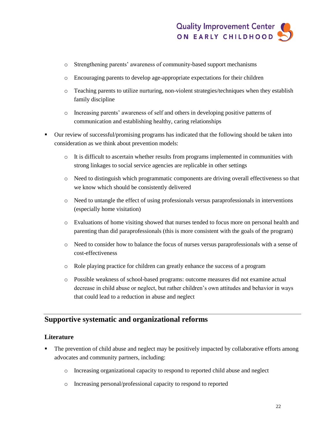- o Strengthening parents' awareness of community-based support mechanisms
- o Encouraging parents to develop age-appropriate expectations for their children
- o Teaching parents to utilize nurturing, non-violent strategies/techniques when they establish family discipline
- o Increasing parents' awareness of self and others in developing positive patterns of communication and establishing healthy, caring relationships
- Our review of successful/promising programs has indicated that the following should be taken into consideration as we think about prevention models:
	- o It is difficult to ascertain whether results from programs implemented in communities with strong linkages to social service agencies are replicable in other settings
	- o Need to distinguish which programmatic components are driving overall effectiveness so that we know which should be consistently delivered
	- o Need to untangle the effect of using professionals versus paraprofessionals in interventions (especially home visitation)
	- o Evaluations of home visiting showed that nurses tended to focus more on personal health and parenting than did paraprofessionals (this is more consistent with the goals of the program)
	- o Need to consider how to balance the focus of nurses versus paraprofessionals with a sense of cost-effectiveness
	- o Role playing practice for children can greatly enhance the success of a program
	- o Possible weakness of school-based programs: outcome measures did not examine actual decrease in child abuse or neglect, but rather children's own attitudes and behavior in ways that could lead to a reduction in abuse and neglect

#### **Supportive systematic and organizational reforms**

#### **Literature**

- The prevention of child abuse and neglect may be positively impacted by collaborative efforts among advocates and community partners, including:
	- o Increasing organizational capacity to respond to reported child abuse and neglect
	- o Increasing personal/professional capacity to respond to reported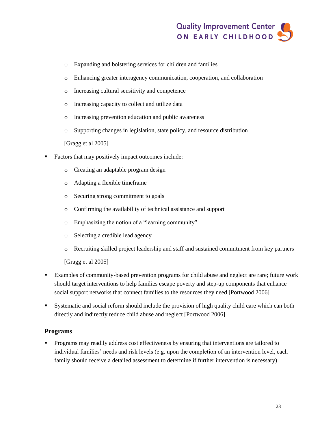- o Expanding and bolstering services for children and families
- o Enhancing greater interagency communication, cooperation, and collaboration
- o Increasing cultural sensitivity and competence
- o Increasing capacity to collect and utilize data
- o Increasing prevention education and public awareness
- o Supporting changes in legislation, state policy, and resource distribution

[Gragg et al 2005]

- Factors that may positively impact outcomes include:
	- o Creating an adaptable program design
	- o Adapting a flexible timeframe
	- o Securing strong commitment to goals
	- o Confirming the availability of technical assistance and support
	- o Emphasizing the notion of a "learning community"
	- o Selecting a credible lead agency
	- o Recruiting skilled project leadership and staff and sustained commitment from key partners

[Gragg et al 2005]

- Examples of community-based prevention programs for child abuse and neglect are rare; future work should target interventions to help families escape poverty and step-up components that enhance social support networks that connect families to the resources they need [Portwood 2006]
- Systematic and social reform should include the provision of high quality child care which can both directly and indirectly reduce child abuse and neglect [Portwood 2006]

#### **Programs**

**Programs may readily address cost effectiveness by ensuring that interventions are tailored to** individual families' needs and risk levels (e.g. upon the completion of an intervention level, each family should receive a detailed assessment to determine if further intervention is necessary)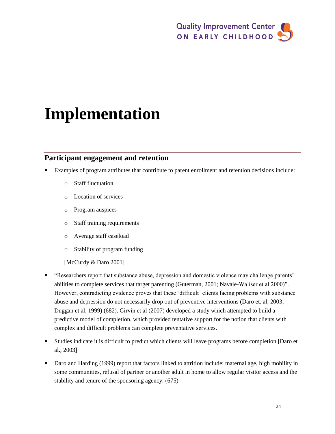# **Implementation**

### **Participant engagement and retention**

- Examples of program attributes that contribute to parent enrollment and retention decisions include:
	- o Staff fluctuation
	- o Location of services
	- o Program auspices
	- o Staff training requirements
	- o Average staff caseload
	- o Stability of program funding
	- [McCurdy & Daro 2001]
- "Researchers report that substance abuse, depression and domestic violence may challenge parents' abilities to complete services that target parenting (Guterman, 2001; Navaie-Waliser et al 2000)". However, contradicting evidence proves that these 'difficult' clients facing problems with substance abuse and depression do not necessarily drop out of preventive interventions (Daro et. al, 2003; Duggan et al, 1999) (682). Girvin et al (2007) developed a study which attempted to build a predictive model of completion, which provided tentative support for the notion that clients with complex and difficult problems can complete preventative services.
- Studies indicate it is difficult to predict which clients will leave programs before completion [Daro et al., 2003]
- Daro and Harding (1999) report that factors linked to attrition include: maternal age, high mobility in some communities, refusal of partner or another adult in home to allow regular visitor access and the stability and tenure of the sponsoring agency. (675)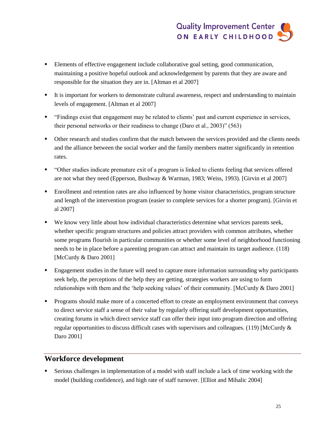- Elements of effective engagement include collaborative goal setting, good communication, maintaining a positive hopeful outlook and acknowledgement by parents that they are aware and responsible for the situation they are in. [Altman et al 2007]
- It is important for workers to demonstrate cultural awareness, respect and understanding to maintain levels of engagement. [Altman et al 2007]
- "Findings exist that engagement may be related to clients' past and current experience in services, their personal networks or their readiness to change (Daro et al., 2003)" (563)
- Other research and studies confirm that the match between the services provided and the clients needs and the alliance between the social worker and the family members matter significantly in retention rates.
- "Other studies indicate premature exit of a program is linked to clients feeling that services offered are not what they need (Epperson, Bushway & Warman, 1983; Weiss, 1993). [Girvin et al 2007]
- Enrollment and retention rates are also influenced by home visitor characteristics, program structure and length of the intervention program (easier to complete services for a shorter program). [Girvin et al 2007]
- We know very little about how individual characteristics determine what services parents seek, whether specific program structures and policies attract providers with common attributes, whether some programs flourish in particular communities or whether some level of neighborhood functioning needs to be in place before a parenting program can attract and maintain its target audience. (118) [McCurdy & Daro 2001]
- **Engagement studies in the future will need to capture more information surrounding why participants** seek help, the perceptions of the help they are getting, strategies workers are using to form relationships with them and the 'help seeking values' of their community. [McCurdy & Daro 2001]
- **Programs should make more of a concerted effort to create an employment environment that conveys** to direct service staff a sense of their value by regularly offering staff development opportunities, creating forums in which direct service staff can offer their input into program direction and offering regular opportunities to discuss difficult cases with supervisors and colleagues. (119) [McCurdy & Daro 2001]

#### **Workforce development**

 Serious challenges in implementation of a model with staff include a lack of time working with the model (building confidence), and high rate of staff turnover. [Elliot and Mihalic 2004]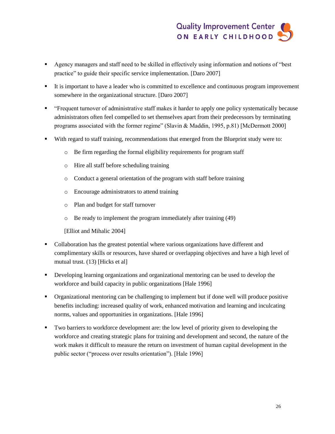- Agency managers and staff need to be skilled in effectively using information and notions of "best practice" to guide their specific service implementation. [Daro 2007]
- It is important to have a leader who is committed to excellence and continuous program improvement somewhere in the organizational structure. [Daro 2007]
- "Frequent turnover of administrative staff makes it harder to apply one policy systematically because administrators often feel compelled to set themselves apart from their predecessors by terminating programs associated with the former regime" (Slavin & Maddin, 1995, p.81) [McDermott 2000]
- With regard to staff training, recommendations that emerged from the Blueprint study were to:
	- o Be firm regarding the formal eligibility requirements for program staff
	- o Hire all staff before scheduling training
	- o Conduct a general orientation of the program with staff before training
	- o Encourage administrators to attend training
	- o Plan and budget for staff turnover
	- o Be ready to implement the program immediately after training (49)

[Elliot and Mihalic 2004]

- Collaboration has the greatest potential where various organizations have different and complimentary skills or resources, have shared or overlapping objectives and have a high level of mutual trust. (13) [Hicks et al]
- Developing learning organizations and organizational mentoring can be used to develop the workforce and build capacity in public organizations [Hale 1996]
- Organizational mentoring can be challenging to implement but if done well will produce positive benefits including: increased quality of work, enhanced motivation and learning and inculcating norms, values and opportunities in organizations. [Hale 1996]
- Two barriers to workforce development are: the low level of priority given to developing the workforce and creating strategic plans for training and development and second, the nature of the work makes it difficult to measure the return on investment of human capital development in the public sector ("process over results orientation"). [Hale 1996]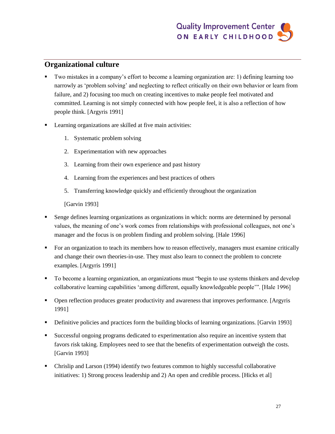### **Organizational culture**

- Two mistakes in a company's effort to become a learning organization are: 1) defining learning too narrowly as 'problem solving' and neglecting to reflect critically on their own behavior or learn from failure, and 2) focusing too much on creating incentives to make people feel motivated and committed. Learning is not simply connected with how people feel, it is also a reflection of how people think. [Argyris 1991]
- **EXECUTE:** Learning organizations are skilled at five main activities:
	- 1. Systematic problem solving
	- 2. Experimentation with new approaches
	- 3. Learning from their own experience and past history
	- 4. Learning from the experiences and best practices of others
	- 5. Transferring knowledge quickly and efficiently throughout the organization

[Garvin 1993]

- Senge defines learning organizations as organizations in which: norms are determined by personal values, the meaning of one's work comes from relationships with professional colleagues, not one's manager and the focus is on problem finding and problem solving. [Hale 1996]
- For an organization to teach its members how to reason effectively, managers must examine critically and change their own theories-in-use. They must also learn to connect the problem to concrete examples. [Argyris 1991]
- To become a learning organization, an organizations must "begin to use systems thinkers and develop collaborative learning capabilities 'among different, equally knowledgeable people'". [Hale 1996]
- **•** Open reflection produces greater productivity and awareness that improves performance. [Argyris 1991]
- Definitive policies and practices form the building blocks of learning organizations. [Garvin 1993]
- Successful ongoing programs dedicated to experimentation also require an incentive system that favors risk taking. Employees need to see that the benefits of experimentation outweigh the costs. [Garvin 1993]
- Chrislip and Larson (1994) identify two features common to highly successful collaborative initiatives: 1) Strong process leadership and 2) An open and credible process. [Hicks et al]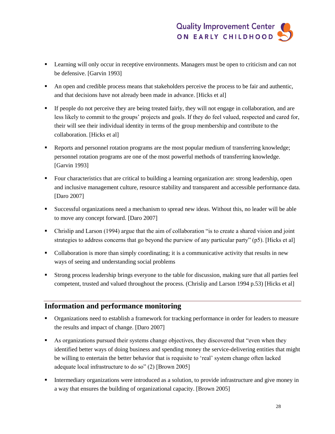- **Example 1** Learning will only occur in receptive environments. Managers must be open to criticism and can not be defensive. [Garvin 1993]
- An open and credible process means that stakeholders perceive the process to be fair and authentic, and that decisions have not already been made in advance. [Hicks et al]
- If people do not perceive they are being treated fairly, they will not engage in collaboration, and are less likely to commit to the groups' projects and goals. If they do feel valued, respected and cared for, their will see their individual identity in terms of the group membership and contribute to the collaboration. [Hicks et al]
- **•** Reports and personnel rotation programs are the most popular medium of transferring knowledge; personnel rotation programs are one of the most powerful methods of transferring knowledge. [Garvin 1993]
- Four characteristics that are critical to building a learning organization are: strong leadership, open and inclusive management culture, resource stability and transparent and accessible performance data. [Daro 2007]
- Successful organizations need a mechanism to spread new ideas. Without this, no leader will be able to move any concept forward. [Daro 2007]
- Chrislip and Larson (1994) argue that the aim of collaboration "is to create a shared vision and joint strategies to address concerns that go beyond the purview of any particular party" (p5). [Hicks et al]
- Collaboration is more than simply coordinating; it is a communicative activity that results in new ways of seeing and understanding social problems
- Strong process leadership brings everyone to the table for discussion, making sure that all parties feel competent, trusted and valued throughout the process. (Chrislip and Larson 1994 p.53) [Hicks et al]

### **Information and performance monitoring**

- Organizations need to establish a framework for tracking performance in order for leaders to measure the results and impact of change. [Daro 2007]
- As organizations pursued their systems change objectives, they discovered that "even when they identified better ways of doing business and spending money the service-delivering entities that might be willing to entertain the better behavior that is requisite to 'real' system change often lacked adequate local infrastructure to do so" (2) [Brown 2005]
- Intermediary organizations were introduced as a solution, to provide infrastructure and give money in a way that ensures the building of organizational capacity. [Brown 2005]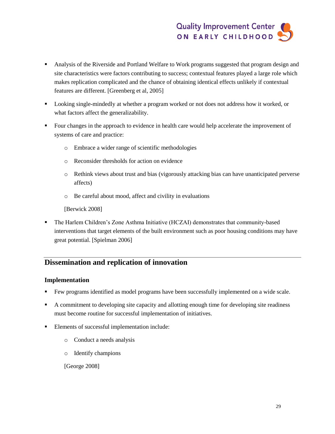- Analysis of the Riverside and Portland Welfare to Work programs suggested that program design and site characteristics were factors contributing to success; contextual features played a large role which makes replication complicated and the chance of obtaining identical effects unlikely if contextual features are different. [Greenberg et al, 2005]
- Looking single-mindedly at whether a program worked or not does not address how it worked, or what factors affect the generalizability.
- Four changes in the approach to evidence in health care would help accelerate the improvement of systems of care and practice:
	- o Embrace a wider range of scientific methodologies
	- o Reconsider thresholds for action on evidence
	- o Rethink views about trust and bias (vigorously attacking bias can have unanticipated perverse affects)
	- o Be careful about mood, affect and civility in evaluations

[Berwick 2008]

 The Harlem Children's Zone Asthma Initiative (HCZAI) demonstrates that community-based interventions that target elements of the built environment such as poor housing conditions may have great potential. [Spielman 2006]

#### **Dissemination and replication of innovation**

#### **Implementation**

- Few programs identified as model programs have been successfully implemented on a wide scale.
- A commitment to developing site capacity and allotting enough time for developing site readiness must become routine for successful implementation of initiatives.
- **Elements of successful implementation include:** 
	- o Conduct a needs analysis
	- o Identify champions

[George 2008]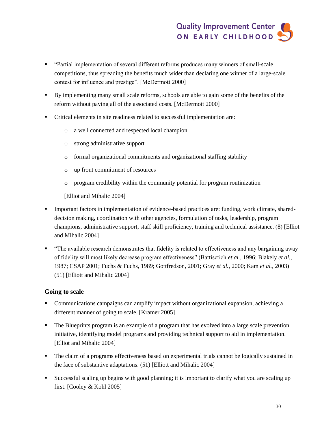- "Partial implementation of several different reforms produces many winners of small-scale competitions, thus spreading the benefits much wider than declaring one winner of a large-scale contest for influence and prestige". [McDermott 2000]
- By implementing many small scale reforms, schools are able to gain some of the benefits of the reform without paying all of the associated costs. [McDermott 2000]
- Critical elements in site readiness related to successful implementation are:
	- o a well connected and respected local champion
	- o strong administrative support
	- o formal organizational commitments and organizational staffing stability
	- o up front commitment of resources
	- o program credibility within the community potential for program routinization

[Elliot and Mihalic 2004]

- Important factors in implementation of evidence-based practices are: funding, work climate, shareddecision making, coordination with other agencies, formulation of tasks, leadership, program champions, administrative support, staff skill proficiency, training and technical assistance. (8) [Elliot and Mihalic 2004]
- "The available research demonstrates that fidelity is related to effectiveness and any bargaining away of fidelity will most likely decrease program effectiveness" (Battisctich *et al.*, 1996; Blakely *et al.*, 1987; CSAP 2001; Fuchs & Fuchs, 1989; Gottfredson, 2001; Gray *et al.*, 2000; Kam *et al.*, 2003) (51) [Elliott and Mihalic 2004]

#### **Going to scale**

- Communications campaigns can amplify impact without organizational expansion, achieving a different manner of going to scale. [Kramer 2005]
- The Blueprints program is an example of a program that has evolved into a large scale prevention initiative, identifying model programs and providing technical support to aid in implementation. [Elliot and Mihalic 2004]
- The claim of a programs effectiveness based on experimental trials cannot be logically sustained in the face of substantive adaptations. (51) [Elliott and Mihalic 2004]
- Successful scaling up begins with good planning; it is important to clarify what you are scaling up first. [Cooley & Kohl 2005]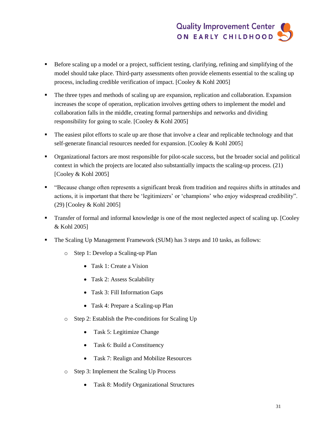- Before scaling up a model or a project, sufficient testing, clarifying, refining and simplifying of the model should take place. Third-party assessments often provide elements essential to the scaling up process, including credible verification of impact. [Cooley & Kohl 2005]
- The three types and methods of scaling up are expansion, replication and collaboration. Expansion increases the scope of operation, replication involves getting others to implement the model and collaboration falls in the middle, creating formal partnerships and networks and dividing responsibility for going to scale. [Cooley & Kohl 2005]
- The easiest pilot efforts to scale up are those that involve a clear and replicable technology and that self-generate financial resources needed for expansion. [Cooley & Kohl 2005]
- Organizational factors are most responsible for pilot-scale success, but the broader social and political context in which the projects are located also substantially impacts the scaling-up process. (21) [Cooley & Kohl 2005]
- "Because change often represents a significant break from tradition and requires shifts in attitudes and actions, it is important that there be 'legitimizers' or 'champions' who enjoy widespread credibility". (29) [Cooley & Kohl 2005]
- Transfer of formal and informal knowledge is one of the most neglected aspect of scaling up. [Cooley & Kohl 2005]
- **The Scaling Up Management Framework (SUM) has 3 steps and 10 tasks, as follows:** 
	- o Step 1: Develop a Scaling-up Plan
		- Task 1: Create a Vision
		- Task 2: Assess Scalability
		- Task 3: Fill Information Gaps
		- Task 4: Prepare a Scaling-up Plan
	- o Step 2: Establish the Pre-conditions for Scaling Up
		- Task 5: Legitimize Change
		- Task 6: Build a Constituency
		- Task 7: Realign and Mobilize Resources
	- o Step 3: Implement the Scaling Up Process
		- Task 8: Modify Organizational Structures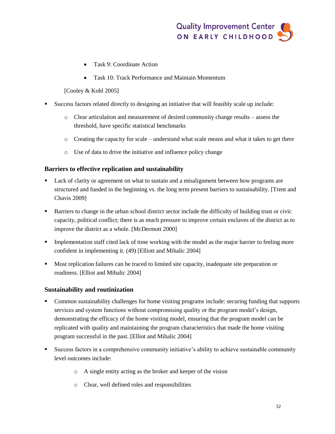- Task 9: Coordinate Action
- Task 10: Track Performance and Maintain Momentum
- [Cooley & Kohl 2005]
- Success factors related directly to designing an initiative that will feasibly scale up include:
	- o Clear articulation and measurement of desired community change results assess the threshold, have specific statistical benchmarks
	- $\circ$  Creating the capacity for scale understand what scale means and what it takes to get there
	- o Use of data to drive the initiative and influence policy change

#### **Barriers to effective replication and sustainability**

- Lack of clarity or agreement on what to sustain and a misalignment between how programs are structured and funded in the beginning vs. the long term present barriers to sustainability. [Trent and Chavis 2009]
- Barriers to change in the urban school district sector include the difficulty of building trust or civic capacity, political conflict; there is as much pressure to improve certain enclaves of the district as to improve the district as a whole. [McDermott 2000]
- Implementation staff cited lack of time working with the model as the major barrier to feeling more confident in implementing it. (49) [Elliott and Mihalic 2004]
- **Most replication failures can be traced to limited site capacity, inadequate site preparation or** readiness. [Elliot and Mihalic 2004]

#### **Sustainability and routinization**

- Common sustainability challenges for home visiting programs include: securing funding that supports services and system functions without compromising quality or the program model's design, demonstrating the efficacy of the home visiting model, ensuring that the program model can be replicated with quality and maintaining the program characteristics that made the home visiting program successful in the past. [Elliot and Mihalic 2004]
- Success factors in a comprehensive community initiative's ability to achieve sustainable community level outcomes include:
	- o A single entity acting as the broker and keeper of the vision
	- o Clear, well defined roles and responsibilities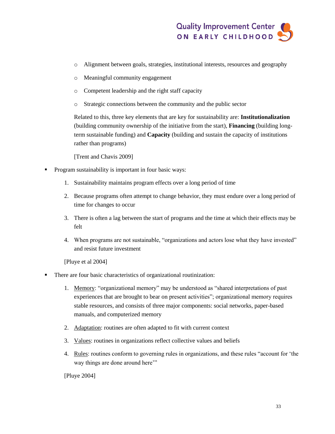

- o Alignment between goals, strategies, institutional interests, resources and geography
- o Meaningful community engagement
- o Competent leadership and the right staff capacity
- o Strategic connections between the community and the public sector

Related to this, three key elements that are key for sustainability are: **Institutionalization** (building community ownership of the initiative from the start), **Financing** (building longterm sustainable funding) and **Capacity** (building and sustain the capacity of institutions rather than programs)

[Trent and Chavis 2009]

- Program sustainability is important in four basic ways:
	- 1. Sustainability maintains program effects over a long period of time
	- 2. Because programs often attempt to change behavior, they must endure over a long period of time for changes to occur
	- 3. There is often a lag between the start of programs and the time at which their effects may be felt
	- 4. When programs are not sustainable, "organizations and actors lose what they have invested" and resist future investment

[Pluye et al 2004]

- There are four basic characteristics of organizational routinization:
	- 1. Memory: "organizational memory" may be understood as "shared interpretations of past experiences that are brought to bear on present activities"; organizational memory requires stable resources, and consists of three major components: social networks, paper-based manuals, and computerized memory
	- 2. Adaptation: routines are often adapted to fit with current context
	- 3. Values: routines in organizations reflect collective values and beliefs
	- 4. Rules: routines conform to governing rules in organizations, and these rules "account for 'the way things are done around here'"

[Pluye 2004]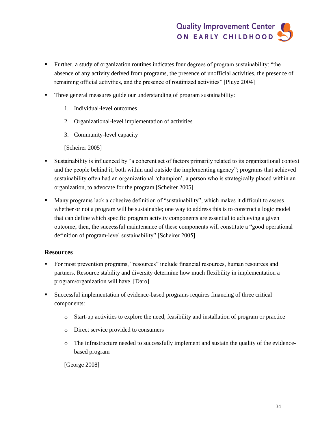- Further, a study of organization routines indicates four degrees of program sustainability: "the absence of any activity derived from programs, the presence of unofficial activities, the presence of remaining official activities, and the presence of routinized activities" [Pluye 2004]
- Three general measures guide our understanding of program sustainability:
	- 1. Individual-level outcomes
	- 2. Organizational-level implementation of activities
	- 3. Community-level capacity

[Scheirer 2005]

- Sustainability is influenced by "a coherent set of factors primarily related to its organizational context and the people behind it, both within and outside the implementing agency"; programs that achieved sustainability often had an organizational 'champion', a person who is strategically placed within an organization, to advocate for the program [Scheirer 2005]
- Many programs lack a cohesive definition of "sustainability", which makes it difficult to assess whether or not a program will be sustainable; one way to address this is to construct a logic model that can define which specific program activity components are essential to achieving a given outcome; then, the successful maintenance of these components will constitute a "good operational definition of program-level sustainability" [Scheirer 2005]

#### **Resources**

- For most prevention programs, "resources" include financial resources, human resources and partners. Resource stability and diversity determine how much flexibility in implementation a program/organization will have. [Daro]
- Successful implementation of evidence-based programs requires financing of three critical components:
	- o Start-up activities to explore the need, feasibility and installation of program or practice
	- o Direct service provided to consumers
	- o The infrastructure needed to successfully implement and sustain the quality of the evidencebased program

[George 2008]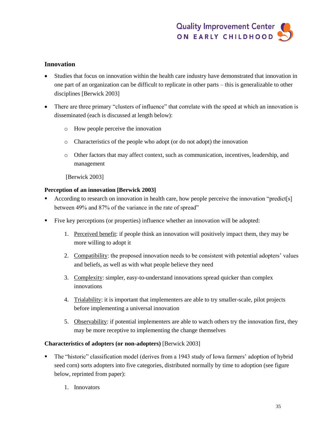#### **Innovation**

- Studies that focus on innovation within the health care industry have demonstrated that innovation in one part of an organization can be difficult to replicate in other parts – this is generalizable to other disciplines [Berwick 2003]
- There are three primary "clusters of influence" that correlate with the speed at which an innovation is disseminated (each is discussed at length below):
	- o How people perceive the innovation
	- o Characteristics of the people who adopt (or do not adopt) the innovation
	- o Other factors that may affect context, such as communication, incentives, leadership, and management

[Berwick 2003]

#### **Perception of an innovation [Berwick 2003]**

- According to research on innovation in health care, how people perceive the innovation "predict[s] between 49% and 87% of the variance in the rate of spread"
- Five key perceptions (or properties) influence whether an innovation will be adopted:
	- 1. Perceived benefit: if people think an innovation will positively impact them, they may be more willing to adopt it
	- 2. Compatibility: the proposed innovation needs to be consistent with potential adopters' values and beliefs, as well as with what people believe they need
	- 3. Complexity: simpler, easy-to-understand innovations spread quicker than complex innovations
	- 4. Trialability: it is important that implementers are able to try smaller-scale, pilot projects before implementing a universal innovation
	- 5. Observability: if potential implementers are able to watch others try the innovation first, they may be more receptive to implementing the change themselves

#### **Characteristics of adopters (or non-adopters)** [Berwick 2003]

- The "historic" classification model (derives from a 1943 study of Iowa farmers' adoption of hybrid seed corn) sorts adopters into five categories, distributed normally by time to adoption (see figure below, reprinted from paper):
	- 1. Innovators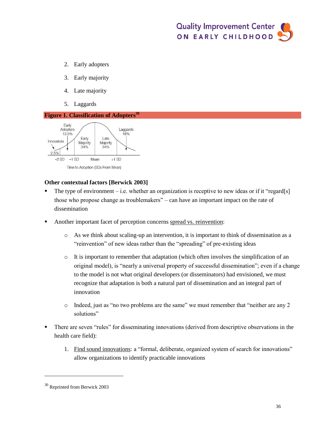- 2. Early adopters
- 3. Early majority
- 4. Late majority
- 5. Laggards

#### <span id="page-39-0"></span>**Figure 1. Classification of Adopters<sup>30</sup>**



#### **Other contextual factors [Berwick 2003]**

- The type of environment i.e. whether an organization is receptive to new ideas or if it "regard[s] those who propose change as troublemakers" – can have an important impact on the rate of dissemination
- Another important facet of perception concerns spread vs. reinvention:
	- o As we think about scaling-up an intervention, it is important to think of dissemination as a "reinvention" of new ideas rather than the "spreading" of pre-existing ideas
	- $\circ$  It is important to remember that adaptation (which often involves the simplification of an original model), is "nearly a universal property of successful dissemination"; even if a change to the model is not what original developers (or disseminators) had envisioned, we must recognize that adaptation is both a natural part of dissemination and an integral part of innovation
	- $\circ$  Indeed, just as "no two problems are the same" we must remember that "neither are any 2 solutions"
- There are seven "rules" for disseminating innovations (derived from descriptive observations in the health care field):
	- 1. Find sound innovations: a "formal, deliberate, organized system of search for innovations" allow organizations to identify practicable innovations

 $\overline{a}$ 

<sup>30</sup> Reprinted from Berwick 2003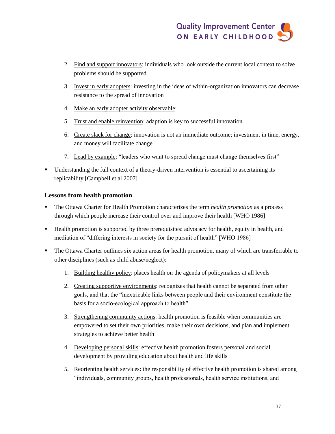- 2. Find and support innovators: individuals who look outside the current local context to solve problems should be supported
- 3. Invest in early adopters: investing in the ideas of within-organization innovators can decrease resistance to the spread of innovation
- 4. Make an early adopter activity observable:
- 5. Trust and enable reinvention: adaption is key to successful innovation
- 6. Create slack for change: innovation is not an immediate outcome; investment in time, energy, and money will facilitate change
- 7. Lead by example: "leaders who want to spread change must change themselves first"
- Understanding the full context of a theory-driven intervention is essential to ascertaining its replicability [Campbell et al 2007]

#### **Lessons from health promotion**

- The Ottawa Charter for Health Promotion characterizes the term *health promotion* as a process through which people increase their control over and improve their health [WHO 1986]
- Health promotion is supported by three prerequisites: advocacy for health, equity in health, and mediation of "differing interests in society for the pursuit of health" [WHO 1986]
- The Ottawa Charter outlines six action areas for health promotion, many of which are transferrable to other disciplines (such as child abuse/neglect):
	- 1. Building healthy policy: places health on the agenda of policymakers at all levels
	- 2. Creating supportive environments: recognizes that health cannot be separated from other goals, and that the "inextricable links between people and their environment constitute the basis for a socio-ecological approach to health"
	- 3. Strengthening community actions: health promotion is feasible when communities are empowered to set their own priorities, make their own decisions, and plan and implement strategies to achieve better health
	- 4. Developing personal skills: effective health promotion fosters personal and social development by providing education about health and life skills
	- 5. Reorienting health services: the responsibility of effective health promotion is shared among "individuals, community groups, health professionals, health service institutions, and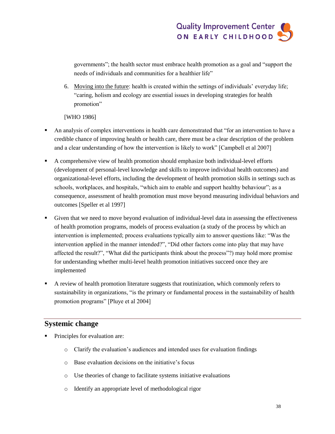governments"; the health sector must embrace health promotion as a goal and "support the needs of individuals and communities for a healthier life"

6. Moving into the future: health is created within the settings of individuals' everyday life; "caring, holism and ecology are essential issues in developing strategies for health promotion"

[WHO 1986]

- An analysis of complex interventions in health care demonstrated that "for an intervention to have a credible chance of improving health or health care, there must be a clear description of the problem and a clear understanding of how the intervention is likely to work" [Campbell et al 2007]
- A comprehensive view of health promotion should emphasize both individual-level efforts (development of personal-level knowledge and skills to improve individual health outcomes) and organizational-level efforts, including the development of health promotion skills in settings such as schools, workplaces, and hospitals, "which aim to enable and support healthy behaviour"; as a consequence, assessment of health promotion must move beyond measuring individual behaviors and outcomes [Speller et al 1997]
- Given that we need to move beyond evaluation of individual-level data in assessing the effectiveness of health promotion programs, models of process evaluation (a study of the process by which an intervention is implemented; process evaluations typically aim to answer questions like: "Was the intervention applied in the manner intended?", "Did other factors come into play that may have affected the result?", "What did the participants think about the process"?) may hold more promise for understanding whether multi-level health promotion initiatives succeed once they are implemented
- A review of health promotion literature suggests that routinization, which commonly refers to sustainability in organizations, "is the primary or fundamental process in the sustainability of health promotion programs" [Pluye et al 2004]

#### **Systemic change**

- Principles for evaluation are:
	- o Clarify the evaluation's audiences and intended uses for evaluation findings
	- o Base evaluation decisions on the initiative's focus
	- o Use theories of change to facilitate systems initiative evaluations
	- o Identify an appropriate level of methodological rigor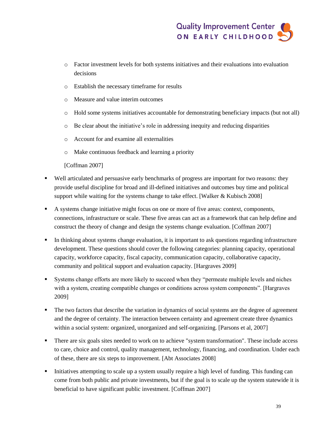- o Factor investment levels for both systems initiatives and their evaluations into evaluation decisions
- o Establish the necessary timeframe for results
- o Measure and value interim outcomes
- o Hold some systems initiatives accountable for demonstrating beneficiary impacts (but not all)
- o Be clear about the initiative's role in addressing inequity and reducing disparities
- o Account for and examine all externalities
- o Make continuous feedback and learning a priority

[Coffman 2007]

- Well articulated and persuasive early benchmarks of progress are important for two reasons: they provide useful discipline for broad and ill-defined initiatives and outcomes buy time and political support while waiting for the systems change to take effect. [Walker & Kubisch 2008]
- A systems change initiative might focus on one or more of five areas: context, components, connections, infrastructure or scale. These five areas can act as a framework that can help define and construct the theory of change and design the systems change evaluation. [Coffman 2007]
- In thinking about systems change evaluation, it is important to ask questions regarding infrastructure development. These questions should cover the following categories: planning capacity, operational capacity, workforce capacity, fiscal capacity, communication capacity, collaborative capacity, community and political support and evaluation capacity. [Hargraves 2009]
- Systems change efforts are more likely to succeed when they "permeate multiple levels and niches with a system, creating compatible changes or conditions across system components". [Hargraves 2009]
- The two factors that describe the variation in dynamics of social systems are the degree of agreement and the degree of certainty. The interaction between certainty and agreement create three dynamics within a social system: organized, unorganized and self-organizing. [Parsons et al, 2007]
- There are six goals sites needed to work on to achieve "system transformation". These include access to care, choice and control, quality management, technology, financing, and coordination. Under each of these, there are six steps to improvement. [Abt Associates 2008]
- Initiatives attempting to scale up a system usually require a high level of funding. This funding can come from both public and private investments, but if the goal is to scale up the system statewide it is beneficial to have significant public investment. [Coffman 2007]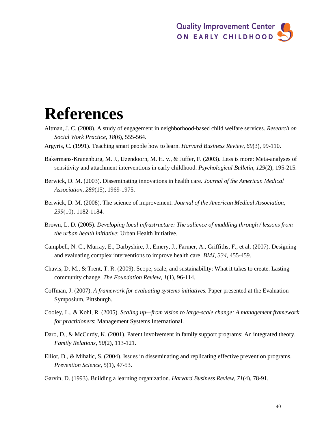# **References**

- Altman, J. C. (2008). A study of engagement in neighborhood-based child welfare services. *Research on Social Work Practice, 18*(6), 555-564.
- Argyris, C. (1991). Teaching smart people how to learn. *Harvard Business Review, 69*(3), 99-110.
- Bakermans-Kranenburg, M. J., IJzendoorn, M. H. v., & Juffer, F. (2003). Less is more: Meta-analyses of sensitivity and attachment interventions in early childhood. *Psychological Bulletin, 129*(2), 195-215.
- Berwick, D. M. (2003). Disseminating innovations in health care. *Journal of the American Medical Association, 289*(15), 1969-1975.
- Berwick, D. M. (2008). The science of improvement. *Journal of the American Medical Association, 299*(10), 1182-1184.
- Brown, L. D. (2005). *Developing local infrastructure: The salience of muddling through / lessons from the urban health initiative*: Urban Health Initiative.
- Campbell, N. C., Murray, E., Darbyshire, J., Emery, J., Farmer, A., Griffiths, F., et al. (2007). Designing and evaluating complex interventions to improve health care. *BMJ, 334*, 455-459.
- Chavis, D. M., & Trent, T. R. (2009). Scope, scale, and sustainability: What it takes to create. Lasting community change. *The Foundation Review, 1*(1), 96-114.
- Coffman, J. (2007). *A framework for evaluating systems initiatives.* Paper presented at the Evaluation Symposium, Pittsburgh.
- Cooley, L., & Kohl, R. (2005). *Scaling up—from vision to large-scale change: A management framework for practitioners*: Management Systems International.
- Daro, D., & McCurdy, K. (2001). Parent involvement in family support programs: An integrated theory. *Family Relations, 50*(2), 113-121.
- Elliot, D., & Mihalic, S. (2004). Issues in disseminating and replicating effective prevention programs. *Prevention Science, 5*(1), 47-53.
- Garvin, D. (1993). Building a learning organization. *Harvard Business Review, 71*(4), 78-91.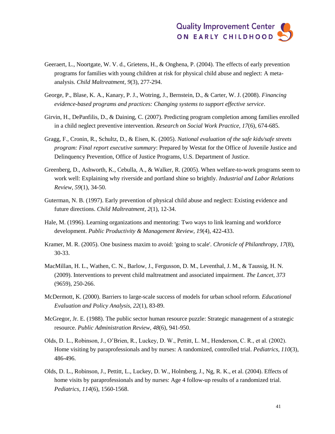- Geeraert, L., Noortgate, W. V. d., Grietens, H., & Onghena, P. (2004). The effects of early prevention programs for families with young children at risk for physical child abuse and neglect: A metaanalysis. *Child Maltreatment, 9*(3), 277-294.
- George, P., Blase, K. A., Kanary, P. J., Wotring, J., Bernstein, D., & Carter, W. J. (2008). *Financing evidence-based programs and practices: Changing systems to support effective service*.
- Girvin, H., DePanfilis, D., & Daining, C. (2007). Predicting program completion among families enrolled in a child neglect preventive intervention. *Research on Social Work Practice, 17*(6), 674-685.
- Gragg, F., Cronin, R., Schultz, D., & Eisen, K. (2005). *National evaluation of the safe kids/safe streets program: Final report executive summary*: Prepared by Westat for the Office of Juvenile Justice and Delinquency Prevention, Office of Justice Programs, U.S. Department of Justice.
- Greenberg, D., Ashworth, K., Cebulla, A., & Walker, R. (2005). When welfare-to-work programs seem to work well: Explaining why riverside and portland shine so brightly. *Industrial and Labor Relations Review, 59*(1), 34-50.
- Guterman, N. B. (1997). Early prevention of physical child abuse and neglect: Existing evidence and future directions. *Child Maltreatment, 2*(1), 12-34.
- Hale, M. (1996). Learning organizations and mentoring: Two ways to link learning and workforce development. *Public Productivity & Management Review, 19*(4), 422-433.
- Kramer, M. R. (2005). One business maxim to avoid: 'going to scale'. *Chronicle of Philanthropy, 17*(8), 30-33.
- MacMillan, H. L., Wathen, C. N., Barlow, J., Fergusson, D. M., Leventhal, J. M., & Taussig, H. N. (2009). Interventions to prevent child maltreatment and associated impairment. *The Lancet, 373*  (9659), 250-266.
- McDermott, K. (2000). Barriers to large-scale success of models for urban school reform. *Educational Evaluation and Policy Analysis, 22*(1), 83-89.
- McGregor, Jr. E. (1988). The public sector human resource puzzle: Strategic management of a strategic resource. *Public Administration Review, 48*(6), 941-950.
- Olds, D. L., Robinson, J., O'Brien, R., Luckey, D. W., Pettitt, L. M., Henderson, C. R., et al. (2002). Home visiting by paraprofessionals and by nurses: A randomized, controlled trial. *Pediatrics, 110*(3), 486-496.
- Olds, D. L., Robinson, J., Pettitt, L., Luckey, D. W., Holmberg, J., Ng, R. K., et al. (2004). Effects of home visits by paraprofessionals and by nurses: Age 4 follow-up results of a randomized trial. *Pediatrics, 114*(6), 1560-1568.